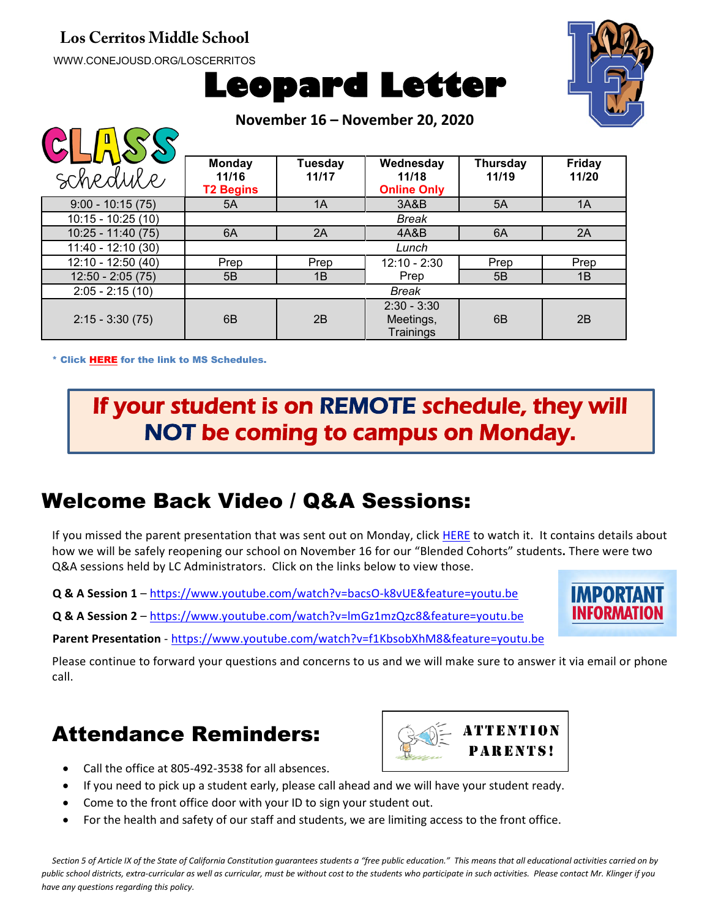#### **Los Cerritos Middle School**

WWW.CONEJOUSD.ORG/LOSCERRITOS

 $\bigcap \bigcap \bigcap \bigcap \bigcap \bigcap \bigcap$ 





**November 16 – November 20, 2020**

| schedule            | <b>Monday</b><br>11/16<br><b>T2 Begins</b> | Tuesday<br>11/17 | Wednesday<br>11/18<br><b>Online Only</b> | <b>Thursday</b><br>11/19 | <b>Friday</b><br>11/20 |
|---------------------|--------------------------------------------|------------------|------------------------------------------|--------------------------|------------------------|
| $9:00 - 10:15(75)$  | 5A                                         | 1A               | 3A&B                                     | 5A                       | 1A                     |
| $10:15 - 10:25(10)$ | <b>Break</b>                               |                  |                                          |                          |                        |
| $10:25 - 11:40(75)$ | 6A                                         | 2A               | 4A&B                                     | 6A                       | 2A                     |
| $11:40 - 12:10(30)$ | Lunch                                      |                  |                                          |                          |                        |
| 12:10 - 12:50 (40)  | Prep                                       | Prep             | $12:10 - 2:30$                           | Prep                     | Prep                   |
| $12:50 - 2:05(75)$  | 5B                                         | 1B               | Prep                                     | 5B                       | 1B                     |
| $2:05 - 2:15(10)$   | <b>Break</b>                               |                  |                                          |                          |                        |
| $2:15 - 3:30(75)$   | 6B                                         | 2B               | $2:30 - 3:30$<br>Meetings,<br>Trainings  | 6 <sub>B</sub>           | 2B                     |

\* Click [HERE](https://www.conejousd.org/Portals/41/2020-2021/Middle%20School%20Remote%20Calendar_fnl.pdf?ver=2020-08-25-121556-487) for the link to MS Schedules.

### If your student is on REMOTE schedule, they will NOT be coming to campus on Monday.

#### Welcome Back Video / Q&A Sessions:

If you missed the parent presentation that was sent out on Monday, clic[k HERE](https://www.youtube.com/watch?v=of-5lKdX4Mw&feature=youtu.be) to watch it. It contains details about how we will be safely reopening our school on November 16 for our "Blended Cohorts" students**.** There were two Q&A sessions held by LC Administrators. Click on the links below to view those.

**Q & A Session 1** – <https://www.youtube.com/watch?v=bacsO-k8vUE&feature=youtu.be>

**Q & A Session 2** – <https://www.youtube.com/watch?v=lmGz1mzQzc8&feature=youtu.be>

**Parent Presentation** - <https://www.youtube.com/watch?v=f1KbsobXhM8&feature=youtu.be>

Please continue to forward your questions and concerns to us and we will make sure to answer it via email or phone call.

#### Attendance Reminders:



- Call the office at 805-492-3538 for all absences.
- If you need to pick up a student early, please call ahead and we will have your student ready.
- Come to the front office door with your ID to sign your student out.
- For the health and safety of our staff and students, we are limiting access to the front office.

*Section 5 of Article IX of the State of California Constitution guarantees students a "free public education." This means that all educational activities carried on by public school districts, extra-curricular as well as curricular, must be without cost to the students who participate in such activities. Please contact Mr. Klinger if you have any questions regarding this policy.*